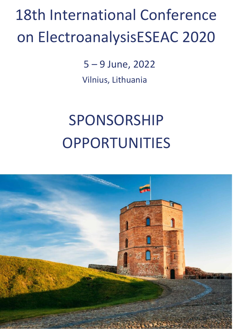# 18th International Conference on ElectroanalysisESEAC 2020

5 – 9 June, 2022 Vilnius, Lithuania

# SPONSORSHIP OPPORTUNITIES

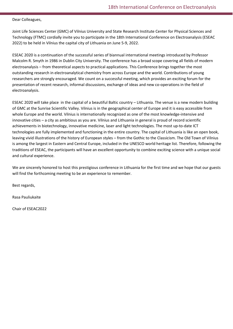#### Dear Colleagues,

Joint Life Sciences Center (GMC) of Vilnius University and State Research Institute Center for Physical Sciences and Technology (FTMC) cordially invite you to participate in the 18th International Conference on Electroanalysis (ESEAC 2022) to be held in Vilnius the capital city of Lithuania on June 5-9, 2022.

ESEAC 2020 is a continuation of the successful series of biannual international meetings introduced by Professor Malcolm R. Smyth in 1986 in Dublin City University. The conference has a broad scope covering all fields of modern electroanalysis – from theoretical aspects to practical applications. This Conference brings together the most outstanding research in electroanalytical chemistry from across Europe and the world. Contributions of young researchers are strongly encouraged. We count on a successful meeting, which provides an exciting forum for the presentation of recent research, informal discussions, exchange of ideas and new co-operations in the field of electroanalysis.

ESEAC 2020 will take place in the capital of a beautiful Baltic country – Lithuania. The venue is a new modern building of GMC at the Sunrise Scientific Valley. Vilnius is in the geographical center of Europe and it is easy accessible from whole Europe and the world. Vilnius is internationally recognized as one of the most knowledge-intensive and innovative cities – a city as ambitious as you are. Vilnius and Lithuania in general is proud of record scientific achievements in biotechnology, innovative medicine, laser and light technologies. The most up-to-date ICT technologies are fully implemented and functioning in the entire country. The capital of Lithuania is like an open book, leaving vivid illustrations of the history of European styles – from the Gothic to the Classicism. The Old Town of Vilnius is among the largest in Eastern and Central Europe, included in the UNESCO world heritage list. Therefore, following the traditions of ESEAC, the participants will have an excellent opportunity to combine exciting science with a unique social and cultural experience.

We are sincerely honored to host this prestigious conference in Lithuania for the first time and we hope that our guests will find the forthcoming meeting to be an experience to remember.

Best regards,

Rasa Pauliukaite

Chair of ESEAC2022